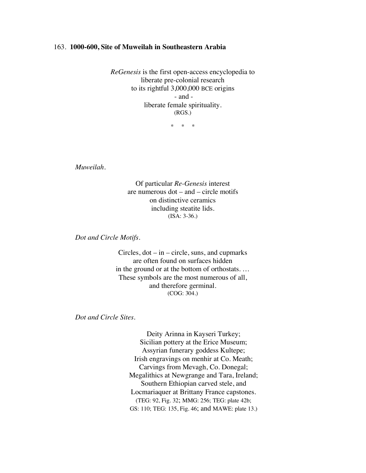## 163. **1000-600, Site of Muweilah in Southeastern Arabia**

*ReGenesis* is the first open-access encyclopedia to liberate pre-colonial research to its rightful 3,000,000 BCE origins - and liberate female spirituality. (RGS.)

\* \* \*

*Muweilah.*

Of particular *Re-Genesis* interest are numerous dot – and – circle motifs on distinctive ceramics including steatite lids. (ISA: 3-36.)

*Dot and Circle Motifs*.

Circles,  $dot - in - circle$ , suns, and cupmarks are often found on surfaces hidden in the ground or at the bottom of orthostats. … These symbols are the most numerous of all, and therefore germinal. (COG: 304.)

*Dot and Circle Sites*.

Deity Arinna in Kayseri Turkey; Sicilian pottery at the Erice Museum; Assyrian funerary goddess Kultepe; Irish engravings on menhir at Co. Meath; Carvings from Mevagh, Co. Donegal; Megalithics at Newgrange and Tara, Ireland; Southern Ethiopian carved stele, and Locmariaquer at Brittany France capstones. (TEG: 92, Fig. 32; MMG: 256; TEG: plate 42b; GS: 110; TEG: 135, Fig. 46; and MAWE: plate 13.)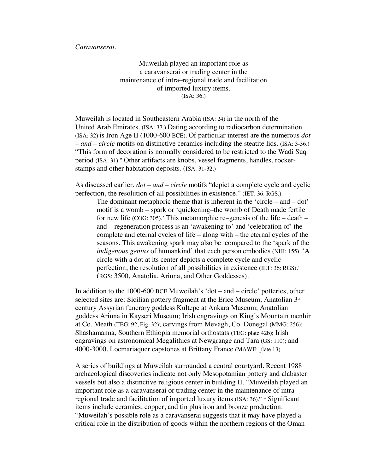*Caravanserai*.

Muweilah played an important role as a caravanserai or trading center in the maintenance of intra–regional trade and facilitation of imported luxury items. (ISA: 36.)

Muweilah is located in Southeastern Arabia (ISA: 24) in the north of the United Arab Emirates. (ISA: 37.) Dating according to radiocarbon determination (ISA: 32) is Iron Age II (1000-600 BCE). Of particular interest are the numerous *dot – and – circle* motifs on distinctive ceramics including the steatite lids. (ISA: 3-36.) "This form of decoration is normally considered to be restricted to the Wadi Suq period (ISA: 31)." Other artifacts are knobs, vessel fragments, handles, rockerstamps and other habitation deposits. (ISA: 31-32.)

As discussed earlier, *dot* – *and* – *circle* motifs "depict a complete cycle and cyclic perfection, the resolution of all possibilities in existence." (IET: 36: RGS.)

The dominant metaphoric theme that is inherent in the 'circle – and – dot' motif is a womb – spark or 'quickening–the womb of Death made fertile for new life (COG: 305).' This metamorphic re–genesis of the life – death – and – regeneration process is an 'awakening to' and 'celebration of' the complete and eternal cycles of life – along with – the eternal cycles of the seasons. This awakening spark may also be compared to the 'spark of the *indigenous genius* of humankind' that each person embodies (NHI: 155). 'A circle with a dot at its center depicts a complete cycle and cyclic perfection, the resolution of all possibilities in existence (IET: 36: RGS).' (RGS: 3500, Anatolia, Arinna, and Other Goddesses).

In addition to the 1000-600 BCE Muweilah's 'dot – and – circle' potteries, other selected sites are: Sicilian pottery fragment at the Erice Museum; Anatolian  $3<sup>d</sup>$ century Assyrian funerary goddess Kultepe at Ankara Museum; Anatolian goddess Arinna in Kayseri Museum; Irish engravings on King's Mountain menhir at Co. Meath (TEG: 92, Fig. 32); carvings from Mevagh, Co. Donegal (MMG: 256); Shashamanna, Southern Ethiopia memorial orthostats (TEG: plate 42b); Irish engravings on astronomical Megalithics at Newgrange and Tara (GS: 110); and 4000-3000, Locmariaquer capstones at Brittany France (MAWE: plate 13).

A series of buildings at Muweilah surrounded a central courtyard. Recent 1988 archaeological discoveries indicate not only Mesopotamian pottery and alabaster vessels but also a distinctive religious center in building II. "Muweilah played an important role as a caravanserai or trading center in the maintenance of intra– regional trade and facilitation of imported luxury items (ISA: 36)." \* Significant items include ceramics, copper, and tin plus iron and bronze production. "Muweilah's possible role as a caravanserai suggests that it may have played a critical role in the distribution of goods within the northern regions of the Oman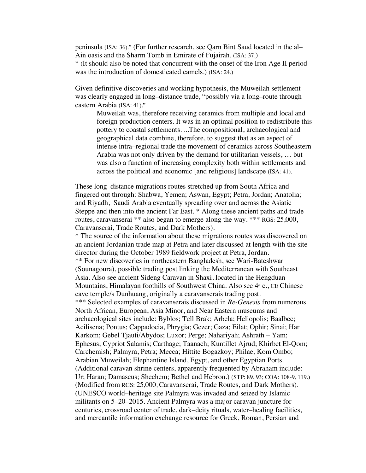peninsula (ISA: 36)." (For further research, see Qarn Bint Saud located in the al– Ain oasis and the Sharm Tomb in Emirate of Fujairah. (ISA: 37.) \* (It should also be noted that concurrent with the onset of the Iron Age II period was the introduction of domesticated camels.) (ISA: 24.)

Given definitive discoveries and working hypothesis, the Muweilah settlement was clearly engaged in long–distance trade, "possibly via a long–route through eastern Arabia (ISA: 41)."

Muweilah was, therefore receiving ceramics from multiple and local and foreign production centers. It was in an optimal position to redistribute this pottery to coastal settlements. ...The compositional, archaeological and geographical data combine, therefore, to suggest that as an aspect of intense intra–regional trade the movement of ceramics across Southeastern Arabia was not only driven by the demand for utilitarian vessels, … but was also a function of increasing complexity both within settlements and across the political and economic [and religious] landscape (ISA: 41).

These long–distance migrations routes stretched up from South Africa and fingered out through: Shabwa, Yemen; Aswan, Egypt; Petra, Jordan; Anatolia; and Riyadh, Saudi Arabia eventually spreading over and across the Asiatic Steppe and then into the ancient Far East. \* Along these ancient paths and trade routes, caravanserai \*\* also began to emerge along the way. \*\*\* RGS: 25,000, Caravanserai, Trade Routes, and Dark Mothers).

\* The source of the information about these migrations routes was discovered on an ancient Jordanian trade map at Petra and later discussed at length with the site director during the October 1989 fieldwork project at Petra, Jordan. \*\* For new discoveries in northeastern Bangladesh, see Wari-Bateshwar (Sounagoura), possible trading post linking the Mediterranean with Southeast Asia. Also see ancient Sideng Caravan in Shaxi, located in the Hengduan Mountains, Himalayan foothills of Southwest China. Also see  $4<sup>*</sup>$  c., CE Chinese cave temple/s Dunhuang, originally a caravanserais trading post. \*\*\* Selected examples of caravanserais discussed in *Re-Genesis* from numerous North African, European, Asia Minor, and Near Eastern museums and archaeological sites include: Byblos; Tell Brak; Arbela; Heliopolis; Baalbec; Acilisena; Pontus; Cappadocia, Phrygia; Gezer; Gaza; Eilat; Ophir; Sinai; Har Karkom; Gebel Tjauti/Abydos; Luxor; Perge; Nahariyah; Ashrath – Yam; Ephesus; Cypriot Salamis; Carthage; Taanach; Kuntillet Ajrud; Khirbet El-Qom; Carchemish; Palmyra, Petra; Mecca; Hittite Bogazkoy; Philae; Kom Ombo; Arabian Muweilah; Elephantine Island, Egypt, and other Egyptian Ports. (Additional caravan shrine centers, apparently frequented by Abraham include: Ur; Haran; Damascus; Shechem; Bethel and Hebron.) (STP: 89, 93; COA: 108-9, 119.) (Modified from RGS: 25,000, Caravanserai, Trade Routes, and Dark Mothers). (UNESCO world–heritage site Palmyra was invaded and seized by Islamic militants on 5–20–2015. Ancient Palmyra was a major caravan juncture for centuries, crossroad center of trade, dark–deity rituals, water–healing facilities, and mercantile information exchange resource for Greek, Roman, Persian and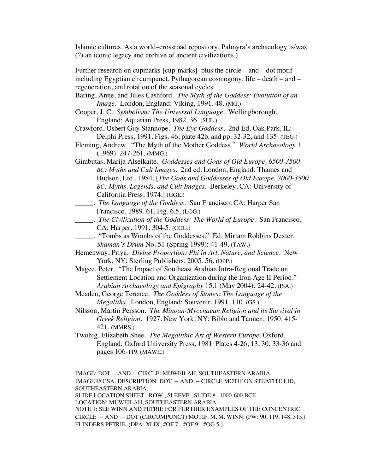Islamic cultures. As a world–crossroad repository, Palmyra's archaeology is/was (?) an iconic legacy and archive of ancient civilizations.)

Further research on cupmarks [cup-marks] plus the circle – and – dot motif including Egyptian circumpunct, Pythagorean cosmogony, life – death – and – regeneration, and rotation of the seasonal cycles:

- Baring, Anne, and Jules Cashford. *The Myth of the Goddess: Evolution of an Image*. London, England: Viking, 1991. 48. (MG.)
- Cooper, J. C. *Symbolism: The Universal Language*. Wellingborough, England: Aquarian Press, 1982. 36. (SUL.)
- Crawford, Osbert Guy Stanhope. *The Eye Goddess*. 2nd Ed. Oak Park, IL: Delphi Press, 1991. Figs. 46, plate 42b, and pp. 32-32, and 135. (TEG.)
- Fleming, Andrew. "The Myth of the Mother Goddess." *World Archaeology* 1 (1969). 247-261. (MMG.)
- Gimbutas, Marija Alseikaite. *Goddesses and Gods of Old Europe, 6500-3500 BC: Myths and Cult Images*. 2nd ed. London, England: Thames and Hudson, Ltd., 1984. [*The Gods and Goddesses of Old Europe, 7000-3500 BC: Myths, Legends, and Cult Images.* Berkeley, CA: University of California Press, 1974.] (GGE.)
- \_\_\_\_\_. *The Language of the Goddess*. San Francisco, CA: Harper San Francisco, 1989. 61, Fig. 6.5. (LOG.)
- \_\_\_\_\_. *The Civilization of the Goddess: The World of Europe*. San Francisco, CA: Harper, 1991. 304-5. (COG.)
- \_\_\_\_\_. "Tombs as Wombs of the Goddesses." Ed. Miriam Robbins Dexter. *Shaman's Drum* No. 51 (Spring 1999): 41-49. (TAW.)
- Hemenway, Priya. *Divine Proportion: Phi in Art, Nature, and Science*. New York, NY: Sterling Publishers, 2005. 56. (DPP.)
- Magee, Peter. "The Impact of Southeast Arabian Intra-Regional Trade on Settlement Location and Organization during the Iron Age II Period." *Arabian Archaeology and Epigraphy* 15.1 (May 2004): 24-42. (ISA.)
- Meaden, George Terence. *The Goddess of Stones: The Language of the Megaliths*. London, England: Souvenir, 1991. 110. (GS.)
- Nilsson, Martin Persson*. The Minoan-Mycenaean Religion and its Survival in Greek Religion.* 1927*.* New York, NY: Biblo and Tannen, 1950. 415- 421. (MMRS.)
- Twohig, Elizabeth Shee. *The Megalithic Art of Western Europe*. Oxford, England: Oxford University Press, 1981. Plates 4-26, 13, 30, 33-36 and pages 106-119. (MAWE.)

IMAGE: DOT – AND – CIRCLE: MUWEILAH, SOUTHEASTERN ARABIA. IMAGE © GSA. DESCRIPTION: DOT – AND – CIRCLE MOTIF ON STEATITE LID, SOUTHEASTERN ARABIA. SLIDE LOCATION SHEET , ROW , SLEEVE , SLIDE # , 1000-600 BCE. LOCATION: MUWEILAH, SOUTHEASTERN ARABIA. NOTE 1: SEE WINN AND PETRIE FOR FURTHER EXAMPLES OF THE CONCENTRIC CIRCLE – AND – DOT (CIRCUMPUNCT) MOTIF. M. M. WINN. (PW: 90, 119, 148, 313.) FLINDERS PETRIE. (DPA: XLIX, #OF 7 - #OF 9 - #OG 5.)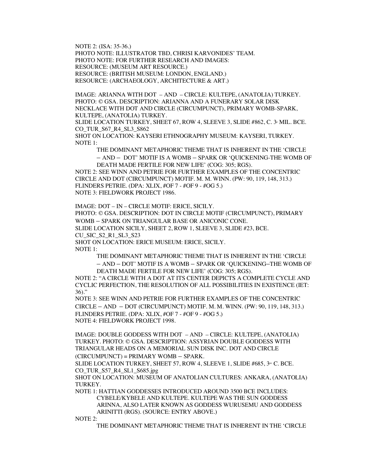NOTE 2: (ISA: 35-36.)

PHOTO NOTE: ILLUSTRATOR TBD, CHRISI KARVONIDES' TEAM. PHOTO NOTE: FOR FURTHER RESEARCH AND IMAGES: RESOURCE: (MUSEUM ART RESOURCE.) RESOURCE: (BRITISH MUSEUM: LONDON, ENGLAND.) RESOURCE: (ARCHAEOLOGY, ARCHITECTURE & ART.)

IMAGE: ARIANNA WITH DOT – AND – CIRCLE: KULTEPE, (ANATOLIA) TURKEY. PHOTO: © GSA. DESCRIPTION: ARIANNA AND A FUNERARY SOLAR DISK NECKLACE WITH DOT AND CIRCLE (CIRCUMPUNCT), PRIMARY WOMB-SPARK, KULTEPE, (ANATOLIA) TURKEY.

SLIDE LOCATION TURKEY, SHEET 67, ROW 4, SLEEVE 3, SLIDE #862, C. 3<sup>®</sup> MIL. BCE. CO\_TUR\_S67\_R4\_SL3\_S862

SHOT ON LOCATION: KAYSERI ETHNOGRAPHY MUSEUM: KAYSERI, TURKEY. NOTE 1:

THE DOMINANT METAPHORIC THEME THAT IS INHERENT IN THE 'CIRCLE – AND – DOT' MOTIF IS A WOMB – SPARK OR 'QUICKENING-THE WOMB OF DEATH MADE FERTILE FOR NEW LIFE' (COG: 305; RGS).

NOTE 2: SEE WINN AND PETRIE FOR FURTHER EXAMPLES OF THE CONCENTRIC CIRCLE AND DOT (CIRCUMPUNCT) MOTIF. M. M. WINN. (PW: 90, 119, 148, 313.) FLINDERS PETRIE. (DPA: XLIX, #OF 7 - #OF 9 - #OG 5.) NOTE 3: FIELDWORK PROJECT 1986.

IMAGE: DOT – IN – CIRCLE MOTIF: ERICE, SICILY.

PHOTO: © GSA. DESCRIPTION: DOT IN CIRCLE MOTIF (CIRCUMPUNCT), PRIMARY WOMB – SPARK ON TRIANGULAR BASE OR ANICONIC CONE. SLIDE LOCATION SICILY, SHEET 2, ROW 1, SLEEVE 3, SLIDE #23, BCE. CU\_SIC\_S2\_R1\_SL3\_S23

SHOT ON LOCATION: ERICE MUSEUM: ERICE, SICILY. NOTE 1:

THE DOMINANT METAPHORIC THEME THAT IS INHERENT IN THE 'CIRCLE – AND – DOT' MOTIF IS A WOMB – SPARK OR 'QUICKENING–THE WOMB OF

DEATH MADE FERTILE FOR NEW LIFE' (COG: 305; RGS).

NOTE 2: "A CIRCLE WITH A DOT AT ITS CENTER DEPICTS A COMPLETE CYCLE AND CYCLIC PERFECTION, THE RESOLUTION OF ALL POSSIBILITIES IN EXISTENCE (IET:  $36$ ."

NOTE 3: SEE WINN AND PETRIE FOR FURTHER EXAMPLES OF THE CONCENTRIC CIRCLE – AND – DOT (CIRCUMPUNCT) MOTIF. M. M. WINN. (PW: 90, 119, 148, 313.) FLINDERS PETRIE. (DPA: XLIX, #OF 7 - #OF 9 - #OG 5.) NOTE 4: FIELDWORK PROJECT 1998.

IMAGE: DOUBLE GODDESS WITH DOT – AND – CIRCLE: KULTEPE, (ANATOLIA) TURKEY. PHOTO: © GSA. DESCRIPTION: ASSYRIAN DOUBLE GODDESS WITH TRIANGULAR HEADS ON A MEMORIAL SUN DISK INC. DOT AND CIRCLE  $(CIRCUMPUT) = PRIMARY WOMB - SPARK.$ 

SLIDE LOCATION TURKEY, SHEET 57, ROW 4, SLEEVE 1, SLIDE #685,  $3^{\text{no}}$  C. BCE. CO\_TUR\_S57\_R4\_SL1\_S685.jpg

SHOT ON LOCATION: MUSEUM OF ANATOLIAN CULTURES: ANKARA, (ANATOLIA) TURKEY.

NOTE 1: HATTIAN GODDESSES INTRODUCED AROUND 3500 BCE INCLUDES: CYBELE/KYBELE AND KULTEPE. KULTEPE WAS THE SUN GODDESS ARINNA, ALSO LATER KNOWN AS GODDESS WURUSEMU AND GODDESS ARINITTI (RGS). (SOURCE: ENTRY ABOVE.)

NOTE 2:

THE DOMINANT METAPHORIC THEME THAT IS INHERENT IN THE 'CIRCLE